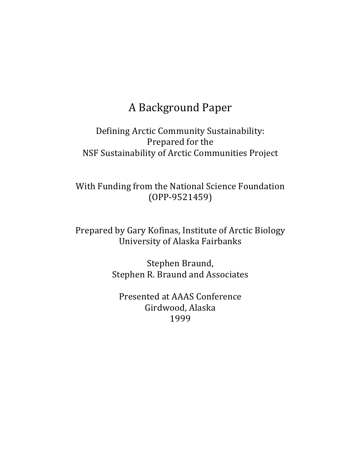# A Background Paper

Defining Arctic Community Sustainability: Prepared for the NSF Sustainability of Arctic Communities Project

With Funding from the National Science Foundation (OPP-9521459)

Prepared by Gary Kofinas, Institute of Arctic Biology University of Alaska Fairbanks

> Stephen Braund, Stephen R. Braund and Associates

Presented at AAAS Conference Girdwood, Alaska 1999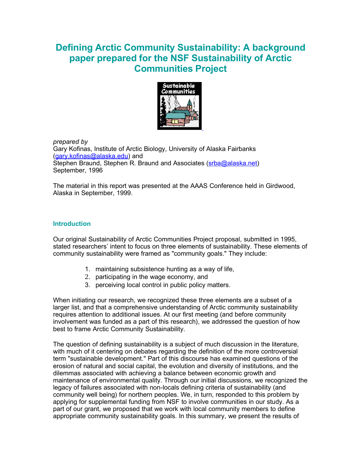# **Defining Arctic Community Sustainability: A background paper prepared for the NSF Sustainability of Arctic Communities Project**



*prepared by* Gary Kofinas, Institute of Arctic Biology, University of Alaska Fairbanks [\(gary.kofinas@alaska.edu\)](mailto:gary.kofinas@alaska.edu) and Stephen Braund, Stephen R. Braund and Associates [\(srba@alaska.net\)](mailto:srba@alaska.net) September, 1996

The material in this report was presented at the AAAS Conference held in Girdwood, Alaska in September, 1999.

#### **Introduction**

Our original Sustainability of Arctic Communities Project proposal, submitted in 1995, stated researchers' intent to focus on three elements of sustainability. These elements of community sustainability were framed as "community goals." They include:

- 1. maintaining subsistence hunting as a way of life,
- 2. participating in the wage economy, and
- 3. perceiving local control in public policy matters.

When initiating our research, we recognized these three elements are a subset of a larger list, and that a comprehensive understanding of Arctic community sustainability requires attention to additional issues. At our first meeting (and before community involvement was funded as a part of this research), we addressed the question of how best to frame Arctic Community Sustainability.

The question of defining sustainability is a subject of much discussion in the literature, with much of it centering on debates regarding the definition of the more controversial term "sustainable development." Part of this discourse has examined questions of the erosion of natural and social capital, the evolution and diversity of institutions, and the dilemmas associated with achieving a balance between economic growth and maintenance of environmental quality. Through our initial discussions, we recognized the legacy of failures associated with non-locals defining criteria of sustainability (and community well being) for northern peoples. We, in turn, responded to this problem by applying for supplemental funding from NSF to involve communities in our study. As a part of our grant, we proposed that we work with local community members to define appropriate community sustainability goals. In this summary, we present the results of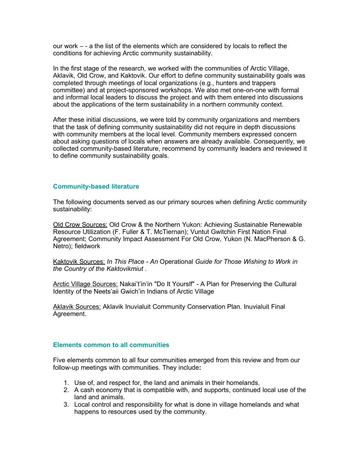our work – - a the list of the elements which are considered by locals to reflect the conditions for achieving Arctic community sustainability.

In the first stage of the research, we worked with the communities of Arctic Village, Aklavik, Old Crow, and Kaktovik. Our effort to define community sustainability goals was completed through meetings of local organizations (e.g., hunters and trappers committee) and at project-sponsored workshops. We also met one-on-one with formal and informal local leaders to discuss the project and with them entered into discussions about the applications of the term sustainability in a northern community context.

After these initial discussions, we were told by community organizations and members that the task of defining community sustainability did not require in depth discussions with community members at the local level. Community members expressed concern about asking questions of locals when answers are already available. Consequently, we collected community-based literature, recommend by community leaders and reviewed it to define community sustainability goals.

#### **Community-based literature**

The following documents served as our primary sources when defining Arctic community sustainability:

Old Crow Sources: Old Crow & the Northern Yukon: Achieving Sustainable Renewable Resource Utilization (F. Fuller & T. McTiernan); Vuntut Gwitchin First Nation Final Agreement; Community Impact Assessment For Old Crow, Yukon (N. MacPherson & G. Netro); fieldwork

Kaktovik Sources: *In This Place - An* Operational *Guide for Those Wishing to Work in the Country of the Kaktovikmiut* .

Arctic Village Sources: Nakai't'in'in "Do It Yourslf" - A Plan for Preserving the Cultural Identity of the Neets'aii Gwich'in Indians of Arctic Village

Aklavik Sources: Aklavik Inuvialuit Community Conservation Plan. Inuvialuit Final Agreement.

#### **Elements common to all communities**

Five elements common to all four communities emerged from this review and from our follow-up meetings with communities. They include**:** 

- 1. Use of, and respect for, the land and animals in their homelands.
- 2. A cash economy that is compatible with, and supports, continued local use of the land and animals.
- 3. Local control and responsibility for what is done in village homelands and what happens to resources used by the community.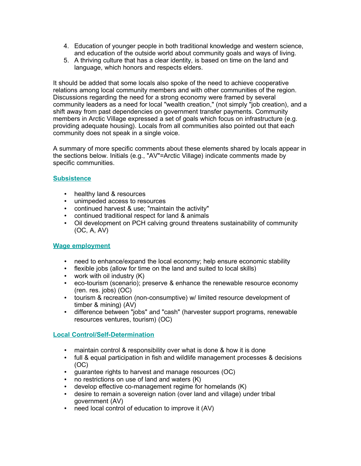- 4. Education of younger people in both traditional knowledge and western science, and education of the outside world about community goals and ways of living.
- 5. A thriving culture that has a clear identity, is based on time on the land and language, which honors and respects elders.

It should be added that some locals also spoke of the need to achieve cooperative relations among local community members and with other communities of the region. Discussions regarding the need for a strong economy were framed by several community leaders as a need for local "wealth creation," (not simply "job creation), and a shift away from past dependencies on government transfer payments. Community members in Arctic Village expressed a set of goals which focus on infrastructure (e.g. providing adequate housing). Locals from all communities also pointed out that each community does not speak in a single voice.

A summary of more specific comments about these elements shared by locals appear in the sections below. Initials (e.g., "AV"=Arctic Village) indicate comments made by specific communities.

#### **Subsistence**

- healthy land & resources
- unimpeded access to resources
- continued harvest & use; "maintain the activity"
- continued traditional respect for land & animals
- Oil development on PCH calving ground threatens sustainability of community (OC, A, AV)

#### **Wage employment**

- need to enhance/expand the local economy; help ensure economic stability
- flexible jobs (allow for time on the land and suited to local skills)
- work with oil industry (K)
- eco-tourism (scenario); preserve & enhance the renewable resource economy (ren. res. jobs) (OC)
- tourism & recreation (non-consumptive) w/ limited resource development of timber & mining) (AV)
- difference between "jobs" and "cash" (harvester support programs, renewable resources ventures, tourism) (OC)

#### **Local Control/Self-Determination**

- maintain control & responsibility over what is done & how it is done
- full & equal participation in fish and wildlife management processes & decisions (OC)
- guarantee rights to harvest and manage resources (OC)
- no restrictions on use of land and waters (K)
- develop effective co-management regime for homelands (K)
- desire to remain a sovereign nation (over land and village) under tribal government (AV)
- need local control of education to improve it (AV)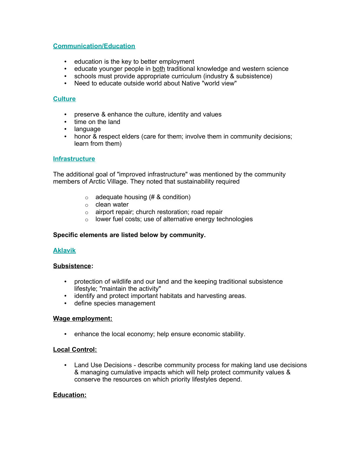#### **Communication/Education**

- education is the key to better employment
- educate younger people in both traditional knowledge and western science
- schools must provide appropriate curriculum (industry & subsistence)
- Need to educate outside world about Native "world view"

#### **Culture**

- preserve & enhance the culture, identity and values
- time on the land
- language
- honor & respect elders (care for them; involve them in community decisions; learn from them)

#### **Infrastructure**

The additional goal of "improved infrastructure" was mentioned by the community members of Arctic Village. They noted that sustainability required

- $\circ$  adequate housing (# & condition)
- o clean water
- o airport repair; church restoration; road repair
- o lower fuel costs; use of alternative energy technologies

#### **Specific elements are listed below by community.**

#### **Aklavik**

#### **Subsistence:**

- protection of wildlife and our land and the keeping traditional subsistence lifestyle; "maintain the activity"
- identify and protect important habitats and harvesting areas.
- define species management

#### **Wage employment:**

• enhance the local economy; help ensure economic stability.

#### **Local Control:**

• Land Use Decisions - describe community process for making land use decisions & managing cumulative impacts which will help protect community values & conserve the resources on which priority lifestyles depend.

#### **Education:**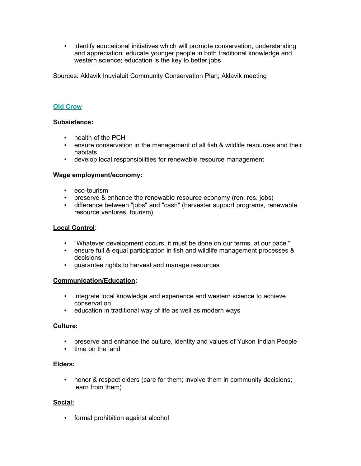• identify educational initiatives which will promote conservation, understanding and appreciation; educate younger people in both traditional knowledge and western science; education is the key to better jobs

Sources: Aklavik Inuvialuit Community Conservation Plan; Aklavik meeting

#### **Old Crow**

#### **Subsistence:**

- health of the PCH
- ensure conservation in the management of all fish & wildlife resources and their habitats
- develop local responsibilities for renewable resource management

#### **Wage employment/economy:**

- eco-tourism
- preserve & enhance the renewable resource economy (ren. res. jobs)
- difference between "jobs" and "cash" (harvester support programs, renewable resource ventures, tourism)

#### **Local Control**:

- "Whatever development occurs, it must be done on our terms, at our pace."
- ensure full & equal participation in fish and wildlife management processes & decisions
- guarantee rights to harvest and manage resources

#### **Communication/Education:**

- integrate local knowledge and experience and western science to achieve conservation
- education in traditional way of life as well as modern ways

#### **Culture:**

- preserve and enhance the culture, identity and values of Yukon Indian People
- time on the land

#### **Elders:**

• honor & respect elders (care for them; involve them in community decisions; learn from them)

#### **Social:**

• formal prohibition against alcohol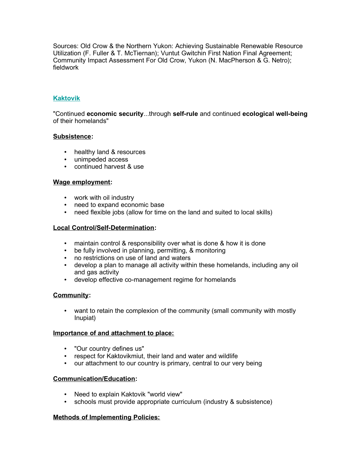Sources: Old Crow & the Northern Yukon: Achieving Sustainable Renewable Resource Utilization (F. Fuller & T. McTiernan); Vuntut Gwitchin First Nation Final Agreement; Community Impact Assessment For Old Crow, Yukon (N. MacPherson & G. Netro); fieldwork

## **Kaktovik**

"Continued **economic security**...through **self-rule** and continued **ecological well-being** of their homelands"

#### **Subsistence:**

- healthy land & resources
- unimpeded access
- continued harvest & use

#### **Wage employment:**

- work with oil industry
- need to expand economic base
- need flexible jobs (allow for time on the land and suited to local skills)

#### **Local Control/Self-Determination:**

- maintain control & responsibility over what is done & how it is done
- be fully involved in planning, permitting, & monitoring
- no restrictions on use of land and waters
- develop a plan to manage all activity within these homelands, including any oil and gas activity
- develop effective co-management regime for homelands

#### **Community:**

• want to retain the complexion of the community (small community with mostly Inupiat)

#### **Importance of and attachment to place:**

- "Our country defines us"
- respect for Kaktovikmiut, their land and water and wildlife
- our attachment to our country is primary, central to our very being

#### **Communication/Education:**

- Need to explain Kaktovik "world view"
- schools must provide appropriate curriculum (industry & subsistence)

#### **Methods of Implementing Policies:**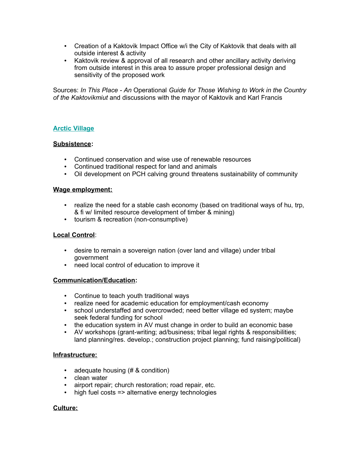- Creation of a Kaktovik Impact Office w/i the City of Kaktovik that deals with all outside interest & activity
- Kaktovik review & approval of all research and other ancillary activity deriving from outside interest in this area to assure proper professional design and sensitivity of the proposed work

Sources: *In This Place - An* Operational *Guide for Those Wishing to Work in the Country of the Kaktovikmiut* and discussions with the mayor of Kaktovik and Karl Francis

#### **Arctic Village**

#### **Subsistence:**

- Continued conservation and wise use of renewable resources
- Continued traditional respect for land and animals
- Oil development on PCH calving ground threatens sustainability of community

#### **Wage employment:**

- realize the need for a stable cash economy (based on traditional ways of hu, trp, & fi w/ limited resource development of timber & mining)
- tourism & recreation (non-consumptive)

#### **Local Control**:

- desire to remain a sovereign nation (over land and village) under tribal government
- need local control of education to improve it

#### **Communication/Education:**

- Continue to teach youth traditional ways
- realize need for academic education for employment/cash economy
- school understaffed and overcrowded; need better village ed system; maybe seek federal funding for school
- the education system in AV must change in order to build an economic base
- AV workshops (grant-writing; ad/business; tribal legal rights & responsibilities; land planning/res. develop.; construction project planning; fund raising/political)

#### **Infrastructure:**

- adequate housing (# & condition)
- clean water
- airport repair; church restoration; road repair, etc.
- high fuel costs => alternative energy technologies

#### **Culture:**